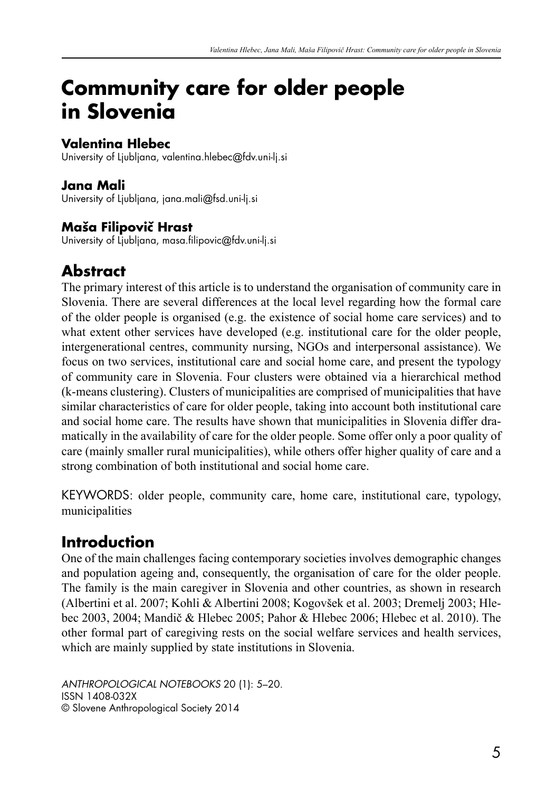# **Community care for older people in Slovenia**

#### **Valentina Hlebec**

University of Ljubljana, valentina.hlebec@fdv.uni-lj.si

#### **Jana Mali**

University of Ljubljana, jana.mali@fsd.uni-lj.si

#### **Maša Filipovič Hrast**

University of Ljubljana, masa.filipovic@fdv.uni-lj.si

### **Abstract**

The primary interest of this article is to understand the organisation of community care in Slovenia. There are several differences at the local level regarding how the formal care of the older people is organised (e.g. the existence of social home care services) and to what extent other services have developed (e.g. institutional care for the older people, intergenerational centres, community nursing, NGOs and interpersonal assistance). We focus on two services, institutional care and social home care, and present the typology of community care in Slovenia. Four clusters were obtained via a hierarchical method (k-means clustering). Clusters of municipalities are comprised of municipalities that have similar characteristics of care for older people, taking into account both institutional care and social home care. The results have shown that municipalities in Slovenia differ dramatically in the availability of care for the older people. Some offer only a poor quality of care (mainly smaller rural municipalities), while others offer higher quality of care and a strong combination of both institutional and social home care.

KEYWORDS: older people, community care, home care, institutional care, typology, municipalities

## **Introduction**

One of the main challenges facing contemporary societies involves demographic changes and population ageing and, consequently, the organisation of care for the older people. The family is the main caregiver in Slovenia and other countries, as shown in research (Albertini et al. 2007; Kohli & Albertini 2008; Kogovšek et al. 2003; Dremelj 2003; Hlebec 2003, 2004; Mandič & Hlebec 2005; Pahor & Hlebec 2006; Hlebec et al. 2010). The other formal part of caregiving rests on the social welfare services and health services, which are mainly supplied by state institutions in Slovenia.

*ANTHROPOLOGICAL NOTEBOOKS* 20 (1): 5–20. ISSN 1408-032X © Slovene Anthropological Society 2014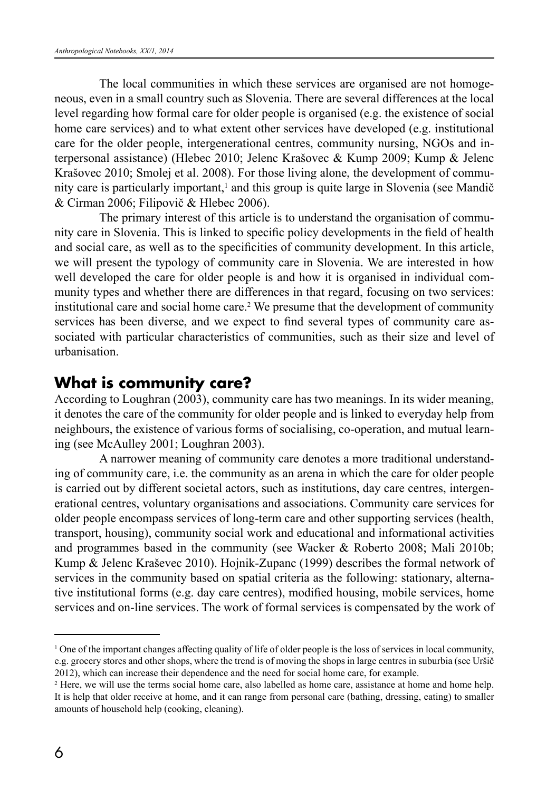The local communities in which these services are organised are not homogeneous, even in a small country such as Slovenia. There are several differences at the local level regarding how formal care for older people is organised (e.g. the existence of social home care services) and to what extent other services have developed (e.g. institutional care for the older people, intergenerational centres, community nursing, NGOs and interpersonal assistance) (Hlebec 2010; Jelenc Krašovec & Kump 2009; Kump & Jelenc Krašovec 2010; Smolej et al. 2008). For those living alone, the development of community care is particularly important,<sup>1</sup> and this group is quite large in Slovenia (see Mandič & Cirman 2006; Filipovič & Hlebec 2006).

The primary interest of this article is to understand the organisation of community care in Slovenia. This is linked to specific policy developments in the field of health and social care, as well as to the specificities of community development. In this article, we will present the typology of community care in Slovenia. We are interested in how well developed the care for older people is and how it is organised in individual community types and whether there are differences in that regard, focusing on two services: institutional care and social home care.<sup>2</sup> We presume that the development of community services has been diverse, and we expect to find several types of community care associated with particular characteristics of communities, such as their size and level of urbanisation.

#### **What is community care?**

According to Loughran (2003), community care has two meanings. In its wider meaning, it denotes the care of the community for older people and is linked to everyday help from neighbours, the existence of various forms of socialising, co-operation, and mutual learning (see McAulley 2001; Loughran 2003).

A narrower meaning of community care denotes a more traditional understanding of community care, i.e. the community as an arena in which the care for older people is carried out by different societal actors, such as institutions, day care centres, intergenerational centres, voluntary organisations and associations. Community care services for older people encompass services of long-term care and other supporting services (health, transport, housing), community social work and educational and informational activities and programmes based in the community (see Wacker & Roberto 2008; Mali 2010b; Kump & Jelenc Kraševec 2010). Hojnik-Zupanc (1999) describes the formal network of services in the community based on spatial criteria as the following: stationary, alternative institutional forms (e.g. day care centres), modified housing, mobile services, home services and on-line services. The work of formal services is compensated by the work of

<sup>1</sup> One of the important changes affecting quality of life of older people is the loss of services in local community, e.g. grocery stores and other shops, where the trend is of moving the shops in large centres in suburbia (see Uršič 2012), which can increase their dependence and the need for social home care, for example.

<sup>&</sup>lt;sup>2</sup> Here, we will use the terms social home care, also labelled as home care, assistance at home and home help. It is help that older receive at home, and it can range from personal care (bathing, dressing, eating) to smaller amounts of household help (cooking, cleaning).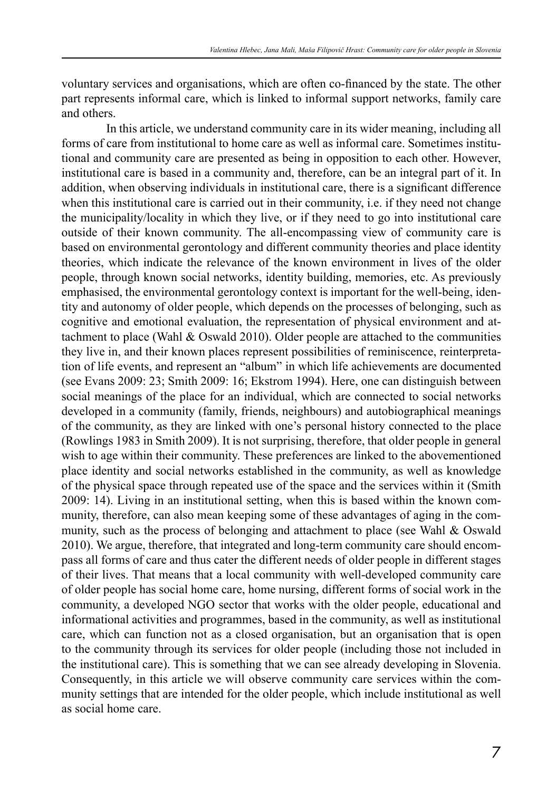voluntary services and organisations, which are often co-financed by the state. The other part represents informal care, which is linked to informal support networks, family care and others.

In this article, we understand community care in its wider meaning, including all forms of care from institutional to home care as well as informal care. Sometimes institutional and community care are presented as being in opposition to each other. However, institutional care is based in a community and, therefore, can be an integral part of it. In addition, when observing individuals in institutional care, there is a significant difference when this institutional care is carried out in their community, i.e. if they need not change the municipality/locality in which they live, or if they need to go into institutional care outside of their known community. The all-encompassing view of community care is based on environmental gerontology and different community theories and place identity theories, which indicate the relevance of the known environment in lives of the older people, through known social networks, identity building, memories, etc. As previously emphasised, the environmental gerontology context is important for the well-being, identity and autonomy of older people, which depends on the processes of belonging, such as cognitive and emotional evaluation, the representation of physical environment and attachment to place (Wahl & Oswald 2010). Older people are attached to the communities they live in, and their known places represent possibilities of reminiscence, reinterpretation of life events, and represent an "album" in which life achievements are documented (see Evans 2009: 23; Smith 2009: 16; Ekstrom 1994). Here, one can distinguish between social meanings of the place for an individual, which are connected to social networks developed in a community (family, friends, neighbours) and autobiographical meanings of the community, as they are linked with one's personal history connected to the place (Rowlings 1983 in Smith 2009). It is not surprising, therefore, that older people in general wish to age within their community. These preferences are linked to the abovementioned place identity and social networks established in the community, as well as knowledge of the physical space through repeated use of the space and the services within it (Smith 2009: 14). Living in an institutional setting, when this is based within the known community, therefore, can also mean keeping some of these advantages of aging in the community, such as the process of belonging and attachment to place (see Wahl & Oswald 2010). We argue, therefore, that integrated and long-term community care should encompass all forms of care and thus cater the different needs of older people in different stages of their lives. That means that a local community with well-developed community care of older people has social home care, home nursing, different forms of social work in the community, a developed NGO sector that works with the older people, educational and informational activities and programmes, based in the community, as well as institutional care, which can function not as a closed organisation, but an organisation that is open to the community through its services for older people (including those not included in the institutional care). This is something that we can see already developing in Slovenia. Consequently, in this article we will observe community care services within the community settings that are intended for the older people, which include institutional as well as social home care.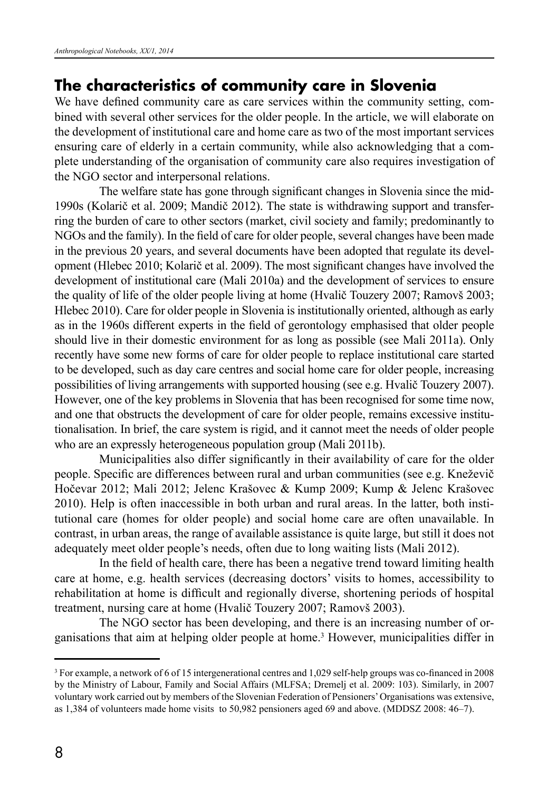### **The characteristics of community care in Slovenia**

We have defined community care as care services within the community setting, combined with several other services for the older people. In the article, we will elaborate on the development of institutional care and home care as two of the most important services ensuring care of elderly in a certain community, while also acknowledging that a complete understanding of the organisation of community care also requires investigation of the NGO sector and interpersonal relations.

The welfare state has gone through significant changes in Slovenia since the mid-1990s (Kolarič et al. 2009; Mandič 2012). The state is withdrawing support and transferring the burden of care to other sectors (market, civil society and family; predominantly to NGOs and the family). In the field of care for older people, several changes have been made in the previous 20 years, and several documents have been adopted that regulate its development (Hlebec 2010; Kolarič et al. 2009). The most significant changes have involved the development of institutional care (Mali 2010a) and the development of services to ensure the quality of life of the older people living at home (Hvalič Touzery 2007; Ramovš 2003; Hlebec 2010). Care for older people in Slovenia is institutionally oriented, although as early as in the 1960s different experts in the field of gerontology emphasised that older people should live in their domestic environment for as long as possible (see Mali 2011a). Only recently have some new forms of care for older people to replace institutional care started to be developed, such as day care centres and social home care for older people, increasing possibilities of living arrangements with supported housing (see e.g. Hvalič Touzery 2007). However, one of the key problems in Slovenia that has been recognised for some time now, and one that obstructs the development of care for older people, remains excessive institutionalisation. In brief, the care system is rigid, and it cannot meet the needs of older people who are an expressly heterogeneous population group (Mali 2011b).

Municipalities also differ significantly in their availability of care for the older people. Specific are differences between rural and urban communities (see e.g. Kneževič Hočevar 2012; Mali 2012; Jelenc Krašovec & Kump 2009; Kump & Jelenc Krašovec 2010). Help is often inaccessible in both urban and rural areas. In the latter, both institutional care (homes for older people) and social home care are often unavailable. In contrast, in urban areas, the range of available assistance is quite large, but still it does not adequately meet older people's needs, often due to long waiting lists (Mali 2012).

In the field of health care, there has been a negative trend toward limiting health care at home, e.g. health services (decreasing doctors' visits to homes, accessibility to rehabilitation at home is difficult and regionally diverse, shortening periods of hospital treatment, nursing care at home (Hvalič Touzery 2007; Ramovš 2003).

The NGO sector has been developing, and there is an increasing number of organisations that aim at helping older people at home.3 However, municipalities differ in

<sup>3</sup> For example, a network of 6 of 15 intergenerational centres and 1,029 self-help groups was co-financed in 2008 by the Ministry of Labour, Family and Social Affairs (MLFSA; Dremelj et al. 2009: 103). Similarly, in 2007 voluntary work carried out by members of the Slovenian Federation of Pensioners' Organisations was extensive, as 1,384 of volunteers made home visits to 50,982 pensioners aged 69 and above. (MDDSZ 2008: 46–7).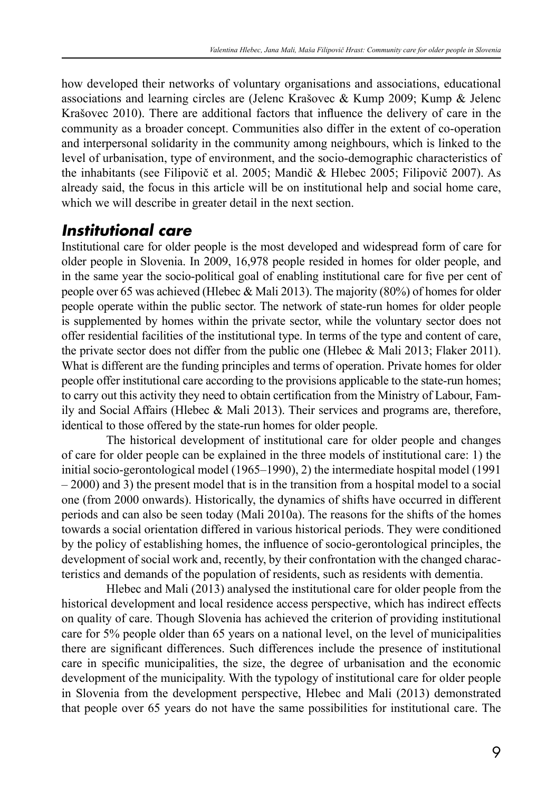how developed their networks of voluntary organisations and associations, educational associations and learning circles are (Jelenc Krašovec & Kump 2009; Kump & Jelenc Krašovec 2010). There are additional factors that influence the delivery of care in the community as a broader concept. Communities also differ in the extent of co-operation and interpersonal solidarity in the community among neighbours, which is linked to the level of urbanisation, type of environment, and the socio-demographic characteristics of the inhabitants (see Filipovič et al. 2005; Mandič & Hlebec 2005; Filipovič 2007). As already said, the focus in this article will be on institutional help and social home care, which we will describe in greater detail in the next section.

#### *Institutional care*

Institutional care for older people is the most developed and widespread form of care for older people in Slovenia. In 2009, 16,978 people resided in homes for older people, and in the same year the socio-political goal of enabling institutional care for five per cent of people over 65 was achieved (Hlebec & Mali 2013). The majority (80%) of homes for older people operate within the public sector. The network of state-run homes for older people is supplemented by homes within the private sector, while the voluntary sector does not offer residential facilities of the institutional type. In terms of the type and content of care, the private sector does not differ from the public one (Hlebec & Mali 2013; Flaker 2011). What is different are the funding principles and terms of operation. Private homes for older people offer institutional care according to the provisions applicable to the state-run homes; to carry out this activity they need to obtain certification from the Ministry of Labour, Family and Social Affairs (Hlebec & Mali 2013). Their services and programs are, therefore, identical to those offered by the state-run homes for older people.

The historical development of institutional care for older people and changes of care for older people can be explained in the three models of institutional care: 1) the initial socio-gerontological model (1965–1990), 2) the intermediate hospital model (1991 – 2000) and 3) the present model that is in the transition from a hospital model to a social one (from 2000 onwards). Historically, the dynamics of shifts have occurred in different periods and can also be seen today (Mali 2010a). The reasons for the shifts of the homes towards a social orientation differed in various historical periods. They were conditioned by the policy of establishing homes, the influence of socio-gerontological principles, the development of social work and, recently, by their confrontation with the changed characteristics and demands of the population of residents, such as residents with dementia.

Hlebec and Mali (2013) analysed the institutional care for older people from the historical development and local residence access perspective, which has indirect effects on quality of care. Though Slovenia has achieved the criterion of providing institutional care for 5% people older than 65 years on a national level, on the level of municipalities there are significant differences. Such differences include the presence of institutional care in specific municipalities, the size, the degree of urbanisation and the economic development of the municipality. With the typology of institutional care for older people in Slovenia from the development perspective, Hlebec and Mali (2013) demonstrated that people over 65 years do not have the same possibilities for institutional care. The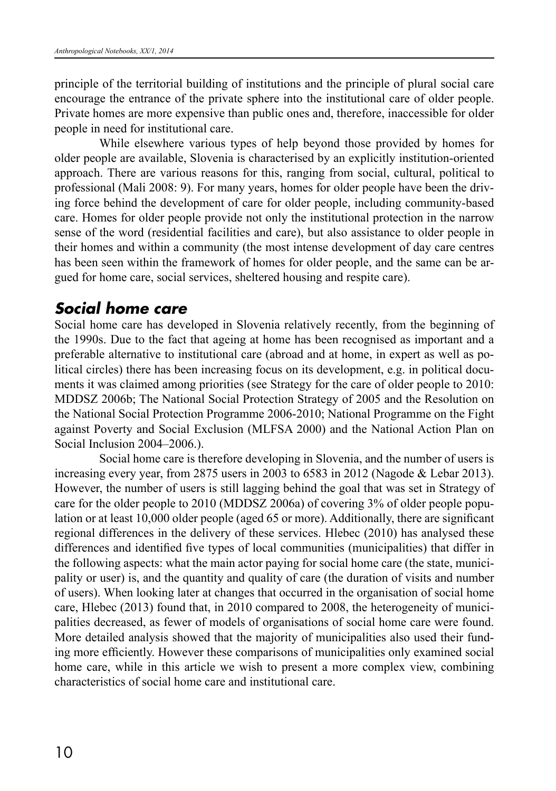principle of the territorial building of institutions and the principle of plural social care encourage the entrance of the private sphere into the institutional care of older people. Private homes are more expensive than public ones and, therefore, inaccessible for older people in need for institutional care.

While elsewhere various types of help beyond those provided by homes for older people are available, Slovenia is characterised by an explicitly institution-oriented approach. There are various reasons for this, ranging from social, cultural, political to professional (Mali 2008: 9). For many years, homes for older people have been the driving force behind the development of care for older people, including community-based care. Homes for older people provide not only the institutional protection in the narrow sense of the word (residential facilities and care), but also assistance to older people in their homes and within a community (the most intense development of day care centres has been seen within the framework of homes for older people, and the same can be argued for home care, social services, sheltered housing and respite care).

#### *Social home care*

Social home care has developed in Slovenia relatively recently, from the beginning of the 1990s. Due to the fact that ageing at home has been recognised as important and a preferable alternative to institutional care (abroad and at home, in expert as well as political circles) there has been increasing focus on its development, e.g. in political documents it was claimed among priorities (see Strategy for the care of older people to 2010: MDDSZ 2006b; The National Social Protection Strategy of 2005 and the Resolution on the National Social Protection Programme 2006-2010; National Programme on the Fight against Poverty and Social Exclusion (MLFSA 2000) and the National Action Plan on Social Inclusion 2004–2006.).

Social home care is therefore developing in Slovenia, and the number of users is increasing every year, from 2875 users in 2003 to 6583 in 2012 (Nagode & Lebar 2013). However, the number of users is still lagging behind the goal that was set in Strategy of care for the older people to 2010 (MDDSZ 2006a) of covering 3% of older people population or at least 10,000 older people (aged 65 or more). Additionally, there are significant regional differences in the delivery of these services. Hlebec (2010) has analysed these differences and identified five types of local communities (municipalities) that differ in the following aspects: what the main actor paying for social home care (the state, municipality or user) is, and the quantity and quality of care (the duration of visits and number of users). When looking later at changes that occurred in the organisation of social home care, Hlebec (2013) found that, in 2010 compared to 2008, the heterogeneity of municipalities decreased, as fewer of models of organisations of social home care were found. More detailed analysis showed that the majority of municipalities also used their funding more efficiently. However these comparisons of municipalities only examined social home care, while in this article we wish to present a more complex view, combining characteristics of social home care and institutional care.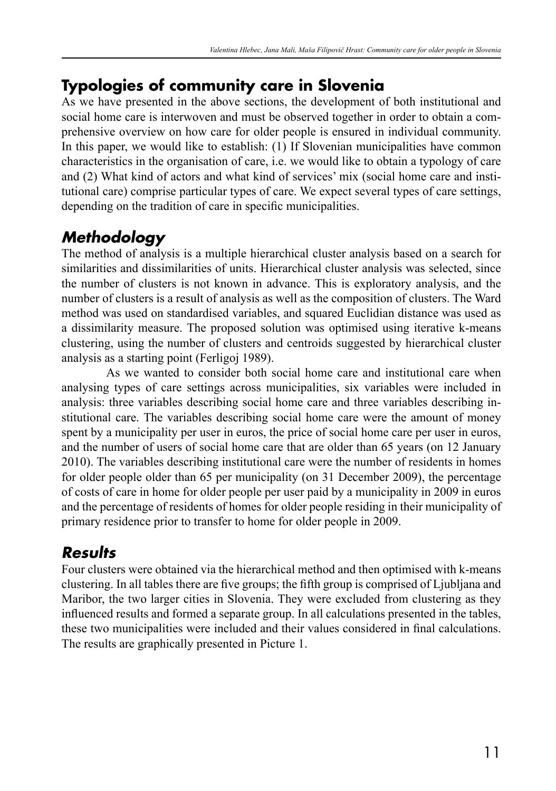### **Typologies of community care in Slovenia**

As we have presented in the above sections, the development of both institutional and social home care is interwoven and must be observed together in order to obtain a comprehensive overview on how care for older people is ensured in individual community. In this paper, we would like to establish: (1) If Slovenian municipalities have common characteristics in the organisation of care, i.e. we would like to obtain a typology of care and (2) What kind of actors and what kind of services' mix (social home care and institutional care) comprise particular types of care. We expect several types of care settings, depending on the tradition of care in specific municipalities.

## *Methodology*

The method of analysis is a multiple hierarchical cluster analysis based on a search for similarities and dissimilarities of units. Hierarchical cluster analysis was selected, since the number of clusters is not known in advance. This is exploratory analysis, and the number of clusters is a result of analysis as well as the composition of clusters. The Ward method was used on standardised variables, and squared Euclidian distance was used as a dissimilarity measure. The proposed solution was optimised using iterative k-means clustering, using the number of clusters and centroids suggested by hierarchical cluster analysis as a starting point (Ferligoj 1989).

As we wanted to consider both social home care and institutional care when analysing types of care settings across municipalities, six variables were included in analysis: three variables describing social home care and three variables describing institutional care. The variables describing social home care were the amount of money spent by a municipality per user in euros, the price of social home care per user in euros, and the number of users of social home care that are older than 65 years (on 12 January 2010). The variables describing institutional care were the number of residents in homes for older people older than 65 per municipality (on 31 December 2009), the percentage of costs of care in home for older people per user paid by a municipality in 2009 in euros and the percentage of residents of homes for older people residing in their municipality of primary residence prior to transfer to home for older people in 2009.

## *Results*

Four clusters were obtained via the hierarchical method and then optimised with k-means clustering. In all tables there are five groups; the fifth group is comprised of Ljubljana and Maribor, the two larger cities in Slovenia. They were excluded from clustering as they influenced results and formed a separate group. In all calculations presented in the tables, these two municipalities were included and their values considered in final calculations. The results are graphically presented in Picture 1.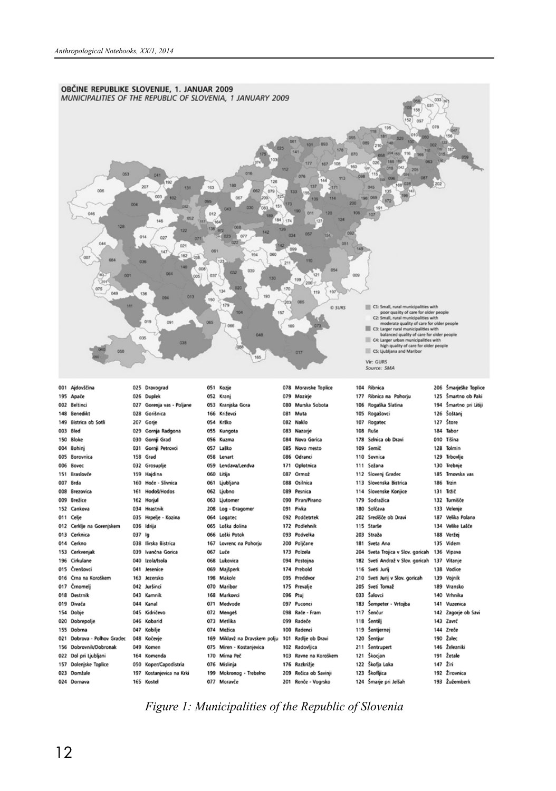

#### *Figure 1: Municipalities of the Republic of Slovenia*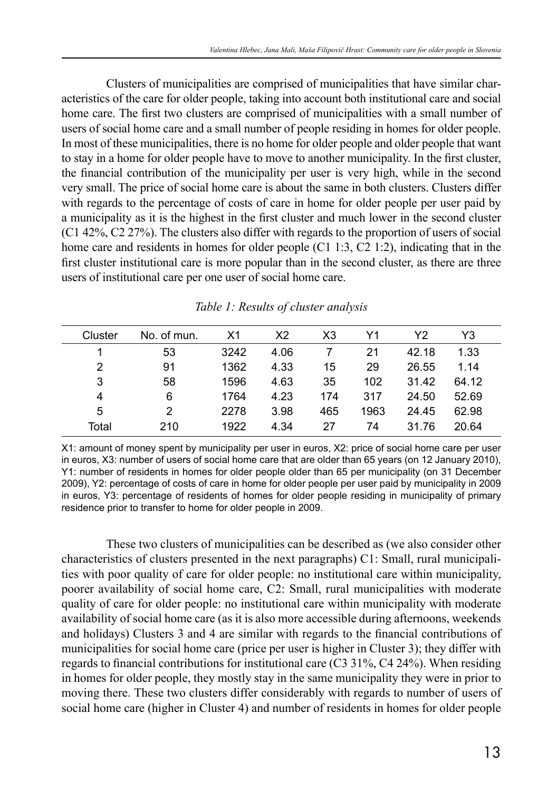Clusters of municipalities are comprised of municipalities that have similar characteristics of the care for older people, taking into account both institutional care and social home care. The first two clusters are comprised of municipalities with a small number of users of social home care and a small number of people residing in homes for older people. In most of these municipalities, there is no home for older people and older people that want to stay in a home for older people have to move to another municipality. In the first cluster, the financial contribution of the municipality per user is very high, while in the second very small. The price of social home care is about the same in both clusters. Clusters differ with regards to the percentage of costs of care in home for older people per user paid by a municipality as it is the highest in the first cluster and much lower in the second cluster (C1 42%, C2 27%). The clusters also differ with regards to the proportion of users of social home care and residents in homes for older people (C1 1:3, C2 1:2), indicating that in the first cluster institutional care is more popular than in the second cluster, as there are three users of institutional care per one user of social home care.

| Cluster | No. of mun.    | X1   | X2   | X <sub>3</sub> | Υ1   | Y2    | Y3    |  |
|---------|----------------|------|------|----------------|------|-------|-------|--|
|         | 53             | 3242 | 4.06 |                | 21   | 42.18 | 1.33  |  |
| 2       | 91             | 1362 | 4.33 | 15             | 29   | 26.55 | 1.14  |  |
| 3       | 58             | 1596 | 4.63 | 35             | 102  | 31.42 | 64.12 |  |
| 4       | 6              | 1764 | 4.23 | 174            | 317  | 24.50 | 52.69 |  |
| 5       | $\overline{2}$ | 2278 | 3.98 | 465            | 1963 | 24.45 | 62.98 |  |
| Total   | 210            | 1922 | 4.34 | 27             | 74   | 31.76 | 20.64 |  |
|         |                |      |      |                |      |       |       |  |

|  |  |  |  |  | Table 1: Results of cluster analysis |
|--|--|--|--|--|--------------------------------------|
|--|--|--|--|--|--------------------------------------|

X1: amount of money spent by municipality per user in euros, X2: price of social home care per user in euros, X3: number of users of social home care that are older than 65 years (on 12 January 2010), Y1: number of residents in homes for older people older than 65 per municipality (on 31 December 2009), Y2: percentage of costs of care in home for older people per user paid by municipality in 2009 in euros, Y3: percentage of residents of homes for older people residing in municipality of primary residence prior to transfer to home for older people in 2009.

These two clusters of municipalities can be described as (we also consider other characteristics of clusters presented in the next paragraphs) C1: Small, rural municipalities with poor quality of care for older people: no institutional care within municipality, poorer availability of social home care, C2: Small, rural municipalities with moderate quality of care for older people: no institutional care within municipality with moderate availability of social home care (as it is also more accessible during afternoons, weekends and holidays) Clusters 3 and 4 are similar with regards to the financial contributions of municipalities for social home care (price per user is higher in Cluster 3); they differ with regards to financial contributions for institutional care (C3 31%, C4 24%). When residing in homes for older people, they mostly stay in the same municipality they were in prior to moving there. These two clusters differ considerably with regards to number of users of social home care (higher in Cluster 4) and number of residents in homes for older people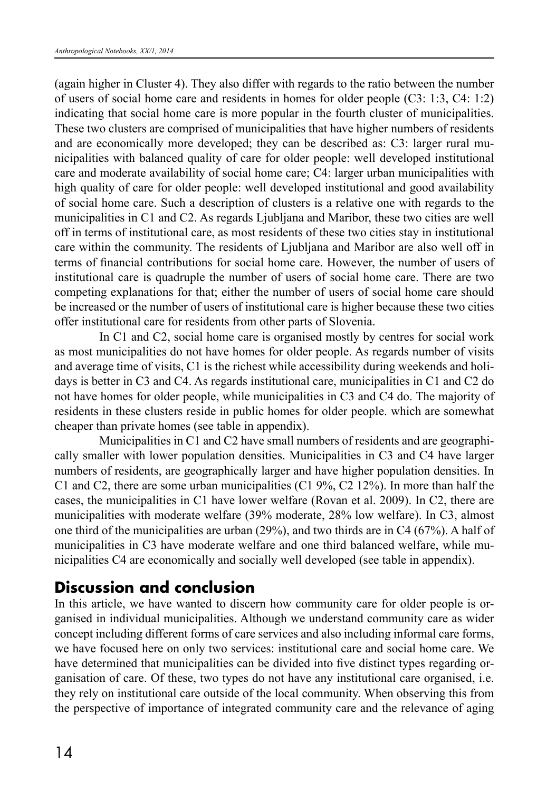(again higher in Cluster 4). They also differ with regards to the ratio between the number of users of social home care and residents in homes for older people (C3: 1:3, C4: 1:2) indicating that social home care is more popular in the fourth cluster of municipalities. These two clusters are comprised of municipalities that have higher numbers of residents and are economically more developed; they can be described as: C3: larger rural municipalities with balanced quality of care for older people: well developed institutional care and moderate availability of social home care; C4: larger urban municipalities with high quality of care for older people: well developed institutional and good availability of social home care. Such a description of clusters is a relative one with regards to the municipalities in C1 and C2. As regards Ljubljana and Maribor, these two cities are well off in terms of institutional care, as most residents of these two cities stay in institutional care within the community. The residents of Ljubljana and Maribor are also well off in terms of financial contributions for social home care. However, the number of users of institutional care is quadruple the number of users of social home care. There are two competing explanations for that; either the number of users of social home care should be increased or the number of users of institutional care is higher because these two cities offer institutional care for residents from other parts of Slovenia.

In C1 and C2, social home care is organised mostly by centres for social work as most municipalities do not have homes for older people. As regards number of visits and average time of visits, C1 is the richest while accessibility during weekends and holidays is better in C3 and C4. As regards institutional care, municipalities in C1 and C2 do not have homes for older people, while municipalities in C3 and C4 do. The majority of residents in these clusters reside in public homes for older people. which are somewhat cheaper than private homes (see table in appendix).

Municipalities in C1 and C2 have small numbers of residents and are geographically smaller with lower population densities. Municipalities in C3 and C4 have larger numbers of residents, are geographically larger and have higher population densities. In C1 and C2, there are some urban municipalities (C1 9%, C2 12%). In more than half the cases, the municipalities in C1 have lower welfare (Rovan et al. 2009). In C2, there are municipalities with moderate welfare (39% moderate, 28% low welfare). In C3, almost one third of the municipalities are urban (29%), and two thirds are in C4 (67%). A half of municipalities in C3 have moderate welfare and one third balanced welfare, while municipalities C4 are economically and socially well developed (see table in appendix).

### **Discussion and conclusion**

In this article, we have wanted to discern how community care for older people is organised in individual municipalities. Although we understand community care as wider concept including different forms of care services and also including informal care forms, we have focused here on only two services: institutional care and social home care. We have determined that municipalities can be divided into five distinct types regarding organisation of care. Of these, two types do not have any institutional care organised, i.e. they rely on institutional care outside of the local community. When observing this from the perspective of importance of integrated community care and the relevance of aging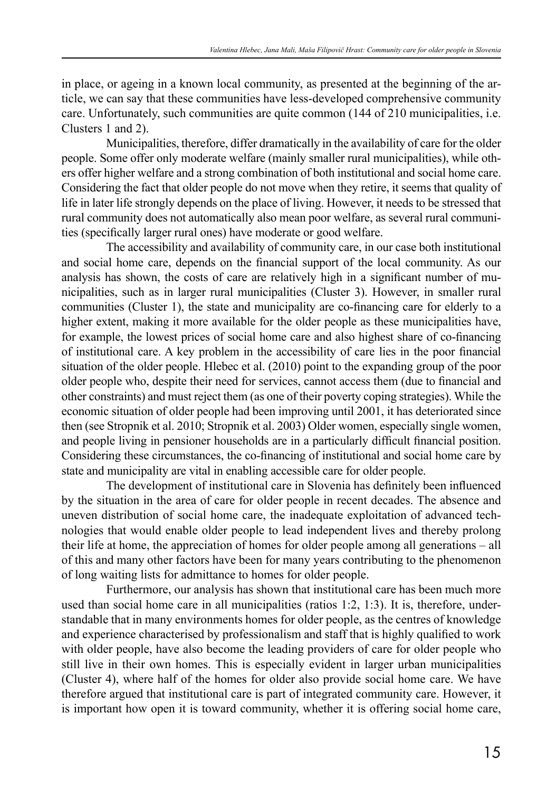in place, or ageing in a known local community, as presented at the beginning of the article, we can say that these communities have less-developed comprehensive community care. Unfortunately, such communities are quite common (144 of 210 municipalities, i.e. Clusters 1 and 2).

Municipalities, therefore, differ dramatically in the availability of care for the older people. Some offer only moderate welfare (mainly smaller rural municipalities), while others offer higher welfare and a strong combination of both institutional and social home care. Considering the fact that older people do not move when they retire, it seems that quality of life in later life strongly depends on the place of living. However, it needs to be stressed that rural community does not automatically also mean poor welfare, as several rural communities (specifically larger rural ones) have moderate or good welfare.

The accessibility and availability of community care, in our case both institutional and social home care, depends on the financial support of the local community. As our analysis has shown, the costs of care are relatively high in a significant number of municipalities, such as in larger rural municipalities (Cluster 3). However, in smaller rural communities (Cluster 1), the state and municipality are co-financing care for elderly to a higher extent, making it more available for the older people as these municipalities have, for example, the lowest prices of social home care and also highest share of co-financing of institutional care. A key problem in the accessibility of care lies in the poor financial situation of the older people. Hlebec et al. (2010) point to the expanding group of the poor older people who, despite their need for services, cannot access them (due to financial and other constraints) and must reject them (as one of their poverty coping strategies). While the economic situation of older people had been improving until 2001, it has deteriorated since then (see Stropnik et al. 2010; Stropnik et al. 2003) Older women, especially single women, and people living in pensioner households are in a particularly difficult financial position. Considering these circumstances, the co-financing of institutional and social home care by state and municipality are vital in enabling accessible care for older people.

The development of institutional care in Slovenia has definitely been influenced by the situation in the area of care for older people in recent decades. The absence and uneven distribution of social home care, the inadequate exploitation of advanced technologies that would enable older people to lead independent lives and thereby prolong their life at home, the appreciation of homes for older people among all generations – all of this and many other factors have been for many years contributing to the phenomenon of long waiting lists for admittance to homes for older people.

Furthermore, our analysis has shown that institutional care has been much more used than social home care in all municipalities (ratios  $1:2, 1:3$ ). It is, therefore, understandable that in many environments homes for older people, as the centres of knowledge and experience characterised by professionalism and staff that is highly qualified to work with older people, have also become the leading providers of care for older people who still live in their own homes. This is especially evident in larger urban municipalities (Cluster 4), where half of the homes for older also provide social home care. We have therefore argued that institutional care is part of integrated community care. However, it is important how open it is toward community, whether it is offering social home care,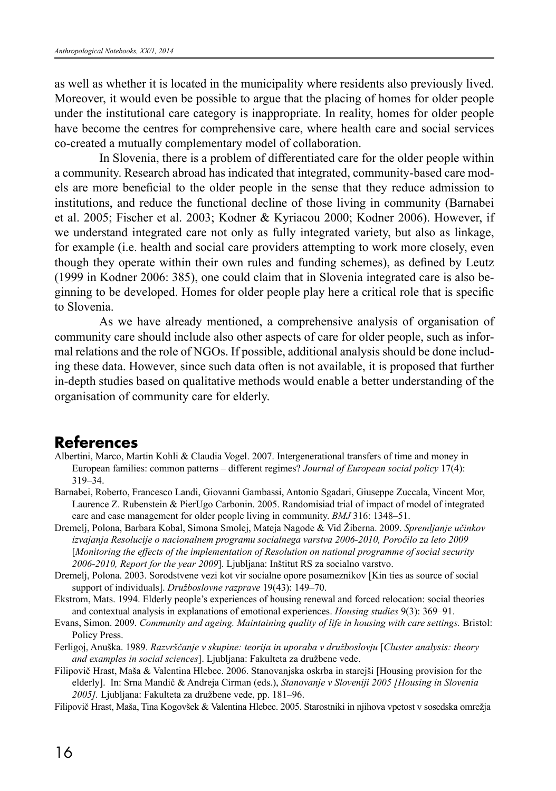as well as whether it is located in the municipality where residents also previously lived. Moreover, it would even be possible to argue that the placing of homes for older people under the institutional care category is inappropriate. In reality, homes for older people have become the centres for comprehensive care, where health care and social services co-created a mutually complementary model of collaboration.

In Slovenia, there is a problem of differentiated care for the older people within a community. Research abroad has indicated that integrated, community-based care models are more beneficial to the older people in the sense that they reduce admission to institutions, and reduce the functional decline of those living in community (Barnabei et al. 2005; Fischer et al. 2003; Kodner & Kyriacou 2000; Kodner 2006). However, if we understand integrated care not only as fully integrated variety, but also as linkage, for example (i.e. health and social care providers attempting to work more closely, even though they operate within their own rules and funding schemes), as defined by Leutz (1999 in Kodner 2006: 385), one could claim that in Slovenia integrated care is also beginning to be developed. Homes for older people play here a critical role that is specific to Slovenia.

As we have already mentioned, a comprehensive analysis of organisation of community care should include also other aspects of care for older people, such as informal relations and the role of NGOs. If possible, additional analysis should be done including these data. However, since such data often is not available, it is proposed that further in-depth studies based on qualitative methods would enable a better understanding of the organisation of community care for elderly.

#### **References**

- Albertini, Marco, Martin Kohli & Claudia Vogel. 2007. Intergenerational transfers of time and money in European families: common patterns – different regimes? *Journal of European social policy* 17(4): 319–34.
- Barnabei, Roberto, Francesco Landi, Giovanni Gambassi, Antonio Sgadari, Giuseppe Zuccala, Vincent Mor, Laurence Z. Rubenstein & PierUgo Carbonin. 2005. Randomisiad trial of impact of model of integrated care and case management for older people living in community. *BMJ* 316: 1348–51.
- Dremelj, Polona, Barbara Kobal, Simona Smolej, Mateja Nagode & Vid Žiberna. 2009. *Spremljanje učinkov izvajanja Resolucije o nacionalnem programu socialnega varstva 2006-2010, Poročilo za leto 2009* [*Monitoring the effects of the implementation of Resolution on national programme of social security 2006-2010, Report for the year 2009*]. Ljubljana: Inštitut RS za socialno varstvo.
- Dremelj, Polona. 2003. Sorodstvene vezi kot vir socialne opore posameznikov [Kin ties as source of social support of individuals]. *Družboslovne razprave* 19(43): 149–70.
- Ekstrom, Mats. 1994. Elderly people's experiences of housing renewal and forced relocation: social theories and contextual analysis in explanations of emotional experiences. *Housing studies* 9(3): 369–91.
- Evans, Simon. 2009. *Community and ageing. Maintaining quality of life in housing with care settings.* Bristol: Policy Press.
- Ferligoj, Anuška. 1989. *Razvrščanje v skupine: teorija in uporaba v družboslovju* [*Cluster analysis: theory and examples in social sciences*]. Ljubljana: Fakulteta za družbene vede.
- Filipovič Hrast, Maša & Valentina Hlebec. 2006. Stanovanjska oskrba in starejši [Housing provision for the elderly]. In: Srna Mandič & Andreja Cirman (eds.), *Stanovanje v Sloveniji 2005 [Housing in Slovenia 2005].* Ljubljana: Fakulteta za družbene vede, pp. 181–96.

Filipovič Hrast, Maša, Tina Kogovšek & Valentina Hlebec. 2005. Starostniki in njihova vpetost v sosedska omrežja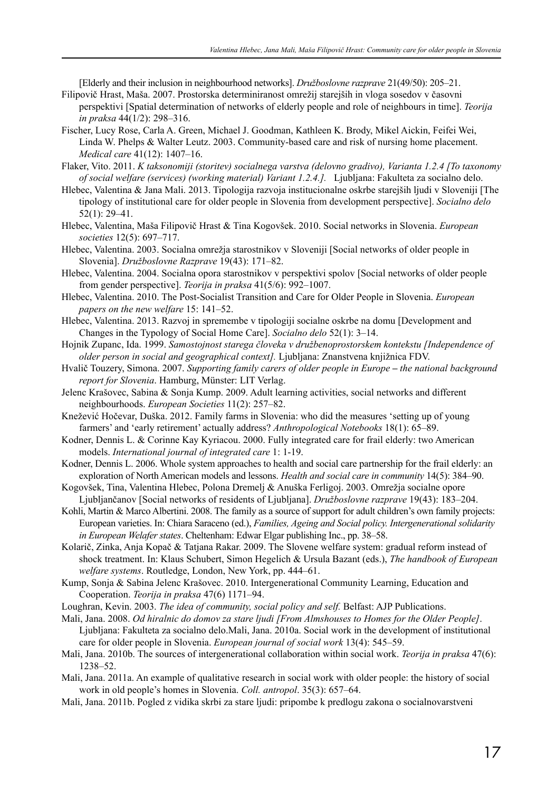[Elderly and their inclusion in neighbourhood networks]. *Družboslovne razprave* 21(49/50): 205–21. Filipovič Hrast, Maša. 2007. Prostorska determiniranost omrežij starejših in vloga sosedov v časovni

- perspektivi [Spatial determination of networks of elderly people and role of neighbours in time]. *Teorija in praksa* 44(1/2): 298–316.
- Fischer, Lucy Rose, Carla A. Green, Michael J. Goodman, Kathleen K. Brody, Mikel Aickin, Feifei Wei, Linda W. Phelps & Walter Leutz. 2003. Community-based care and risk of nursing home placement. *Medical care* 41(12): 1407–16.
- Flaker, Vito. 2011. *K taksonomiji (storitev) socialnega varstva (delovno gradivo), Varianta 1.2.4 [To taxonomy of social welfare (services) (working material) Variant 1.2.4.].* Ljubljana: Fakulteta za socialno delo.
- Hlebec, Valentina & Jana Mali. 2013. Tipologija razvoja institucionalne oskrbe starejših ljudi v Sloveniji [The tipology of institutional care for older people in Slovenia from development perspective]. *Socialno delo* 52(1): 29–41.
- Hlebec, Valentina, Maša Filipovič Hrast & Tina Kogovšek. 2010. Social networks in Slovenia. *European societies* 12(5): 697–717.
- Hlebec, Valentina. 2003. Socialna omrežja starostnikov v Sloveniji [Social networks of older people in Slovenia]. *Družboslovne Razprave* 19(43): 171–82.
- Hlebec, Valentina. 2004. Socialna opora starostnikov v perspektivi spolov [Social networks of older people from gender perspective]. *Teorija in praksa* 41(5/6): 992–1007.
- Hlebec, Valentina. 2010. The Post-Socialist Transition and Care for Older People in Slovenia. *European papers on the new welfare* 15: 141–52.
- Hlebec, Valentina. 2013. Razvoj in spremembe v tipologiji socialne oskrbe na domu [Development and Changes in the Typology of Social Home Care]. *Socialno delo* 52(1): 3–14.
- Hojnik Zupanc, Ida. 1999. *Samostojnost starega človeka v družbenoprostorskem kontekstu [Independence of older person in social and geographical context].* Ljubljana: Znanstvena knjižnica FDV.
- Hvalič Touzery, Simona. 2007. *Supporting family carers of older people in Europe the national background report for Slovenia*. Hamburg, Münster: LIT Verlag.
- Jelenc Krašovec, Sabina & Sonja Kump. 2009. Adult learning activities, social networks and different neighbourhoods. *European Societies* 11(2): 257–82.
- Knežević Hočevar, Duška. 2012. Family farms in Slovenia: who did the measures 'setting up of young farmers' and 'early retirement' actually address? *Anthropological Notebooks* 18(1): 65–89.
- Kodner, Dennis L. & Corinne Kay Kyriacou. 2000. Fully integrated care for frail elderly: two American models. *International journal of integrated care* 1: 1-19.
- Kodner, Dennis L. 2006. Whole system approaches to health and social care partnership for the frail elderly: an exploration of North American models and lessons. *Health and social care in community* 14(5): 384–90.
- Kogovšek, Tina, Valentina Hlebec, Polona Dremelj & Anuška Ferligoj. 2003. Omrežja socialne opore Ljubljančanov [Social networks of residents of Ljubljana]. *Družboslovne razprave* 19(43): 183–204.
- Kohli, Martin & Marco Albertini. 2008. The family as a source of support for adult children's own family projects: European varieties. In: Chiara Saraceno (ed.), *Families, Ageing and Social policy. Intergenerational solidarity in European Welafer states*. Cheltenham: Edwar Elgar publishing Inc., pp. 38–58.
- Kolarič, Zinka, Anja Kopač & Tatjana Rakar. 2009. The Slovene welfare system: gradual reform instead of shock treatment. In: Klaus Schubert, Simon Hegelich & Ursula Bazant (eds.), *The handbook of European welfare systems*. Routledge, London, New York, pp. 444–61.
- Kump, Sonja & Sabina Jelenc Krašovec. 2010. Intergenerational Community Learning, Education and Cooperation. *Teorija in praksa* 47(6) 1171–94.
- Loughran, Kevin. 2003. *The idea of community, social policy and self.* Belfast: AJP Publications.
- Mali, Jana. 2008. *Od hiralnic do domov za stare ljudi [From Almshouses to Homes for the Older People]*. Ljubljana: Fakulteta za socialno delo.Mali, Jana. 2010a. Social work in the development of institutional care for older people in Slovenia. *European journal of social work* 13(4): 545–59.
- Mali, Jana. 2010b. The sources of intergenerational collaboration within social work. *Teorija in praksa* 47(6): 1238–52.
- Mali, Jana. 2011a. An example of qualitative research in social work with older people: the history of social work in old people's homes in Slovenia. *Coll. antropol*. 35(3): 657–64.
- Mali, Jana. 2011b. Pogled z vidika skrbi za stare ljudi: pripombe k predlogu zakona o socialnovarstveni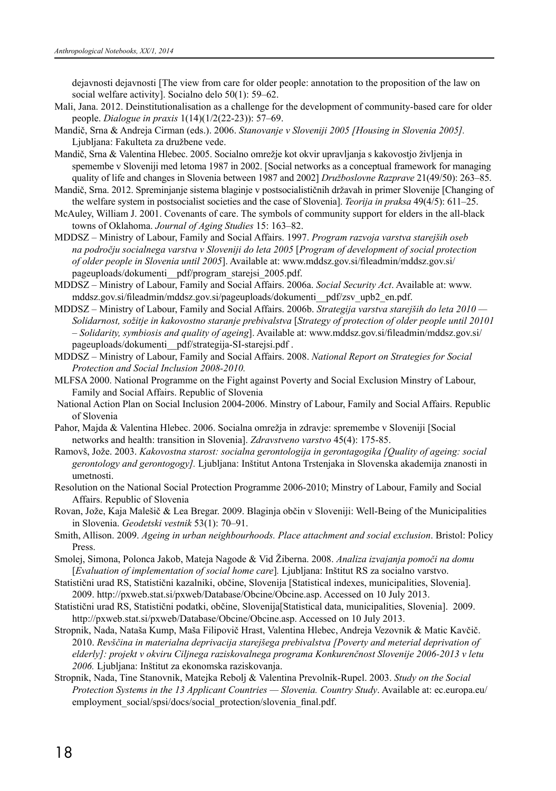dejavnosti dejavnosti [The view from care for older people: annotation to the proposition of the law on social welfare activityl. Socialno delo 50(1): 59–62.

- Mali, Jana. 2012. Deinstitutionalisation as a challenge for the development of community-based care for older people. *Dialogue in praxis* 1(14)(1/2(22-23)): 57–69.
- Mandič, Srna & Andreja Cirman (eds.). 2006. *Stanovanje v Sloveniji 2005 [Housing in Slovenia 2005].* Ljubljana: Fakulteta za družbene vede.
- Mandič, Srna & Valentina Hlebec. 2005. Socialno omrežje kot okvir upravljanja s kakovostjo življenja in spemembe v Sloveniji med letoma 1987 in 2002. [Social networks as a conceptual framework for managing quality of life and changes in Slovenia between 1987 and 2002] *Družboslovne Razprave* 21(49/50): 263–85.
- Mandič, Srna. 2012. Spreminjanje sistema blaginje v postsocialističnih državah in primer Slovenije [Changing of the welfare system in postsocialist societies and the case of Slovenia]. *Teorija in praksa* 49(4/5): 611–25.
- McAuley, William J. 2001. Covenants of care. The symbols of community support for elders in the all-black towns of Oklahoma. *Journal of Aging Studies* 15: 163–82.
- MDDSZ Ministry of Labour, Family and Social Affairs. 1997. *Program razvoja varstva starejših oseb na področju socialnega varstva v Sloveniji do leta 2005* [*Program of development of social protection of older people in Slovenia until 2005*]. Available at: www.mddsz.gov.si/fileadmin/mddsz.gov.si/ pageuploads/dokumenti\_\_pdf/program\_starejsi\_2005.pdf.
- MDDSZ Ministry of Labour, Family and Social Affairs. 2006a. *Social Security Act*. Available at: www. mddsz.gov.si/fileadmin/mddsz.gov.si/pageuploads/dokumenti\_\_pdf/zsv\_upb2\_en.pdf.
- MDDSZ Ministry of Labour, Family and Social Affairs. 2006b. *Strategija varstva starejših do leta 2010 Solidarnost, sožitje in kakovostno staranje prebivalstva* [*Strategy of protection of older people until 20101 – Solidarity, symbiosis and quality of ageing*]. Available at: www.mddsz.gov.si/fileadmin/mddsz.gov.si/ pageuploads/dokumenti\_\_pdf/strategija-SI-starejsi.pdf .
- MDDSZ Ministry of Labour, Family and Social Affairs. 2008. *National Report on Strategies for Social Protection and Social Inclusion 2008-2010.*
- MLFSA 2000. National Programme on the Fight against Poverty and Social Exclusion Minstry of Labour, Family and Social Affairs. Republic of Slovenia
- National Action Plan on Social Inclusion 2004-2006. Minstry of Labour, Family and Social Affairs. Republic of Slovenia
- Pahor, Majda & Valentina Hlebec. 2006. Socialna omrežja in zdravje: spremembe v Sloveniji [Social networks and health: transition in Slovenia]. *Zdravstveno varstvo* 45(4): 175-85.
- Ramovš, Jože. 2003. *Kakovostna starost: socialna gerontologija in gerontagogika [Quality of ageing: social gerontology and gerontogogy].* Ljubljana: Inštitut Antona Trstenjaka in Slovenska akademija znanosti in umetnosti.
- Resolution on the National Social Protection Programme 2006-2010; Minstry of Labour, Family and Social Affairs. Republic of Slovenia
- Rovan, Jože, Kaja Malešič & Lea Bregar. 2009. Blaginja občin v Sloveniji: Well-Being of the Municipalities in Slovenia. *Geodetski vestnik* 53(1): 70–91.
- Smith, Allison. 2009. *Ageing in urban neighbourhoods. Place attachment and social exclusion*. Bristol: Policy **Press**.
- Smolej, Simona, Polonca Jakob, Mateja Nagode & Vid Žiberna. 2008. *Analiza izvajanja pomoči na domu*  [*Evaluation of implementation of social home care*]*.* Ljubljana: Inštitut RS za socialno varstvo.
- Statistični urad RS, Statistični kazalniki, občine, Slovenija [Statistical indexes, municipalities, Slovenia]. 2009. http://pxweb.stat.si/pxweb/Database/Obcine/Obcine.asp. Accessed on 10 July 2013.
- Statistični urad RS, Statistični podatki, občine, Slovenija[Statistical data, municipalities, Slovenia]. 2009. http://pxweb.stat.si/pxweb/Database/Obcine/Obcine.asp. Accessed on 10 July 2013.
- Stropnik, Nada, Nataša Kump, Maša Filipovič Hrast, Valentina Hlebec, Andreja Vezovnik & Matic Kavčič. 2010. *Revščina in materialna deprivacija starejšega prebivalstva [Poverty and meterial deprivation of elderly]: projekt v okviru Ciljnega raziskovalnega programa Konkurenčnost Slovenije 2006-2013 v letu 2006.* Ljubljana: Inštitut za ekonomska raziskovanja.
- Stropnik, Nada, Tine Stanovnik, Matejka Rebolj & Valentina Prevolnik-Rupel. 2003. *Study on the Social Protection Systems in the 13 Applicant Countries — Slovenia. Country Study*. Available at: ec.europa.eu/ employment\_social/spsi/docs/social\_protection/slovenia\_final.pdf.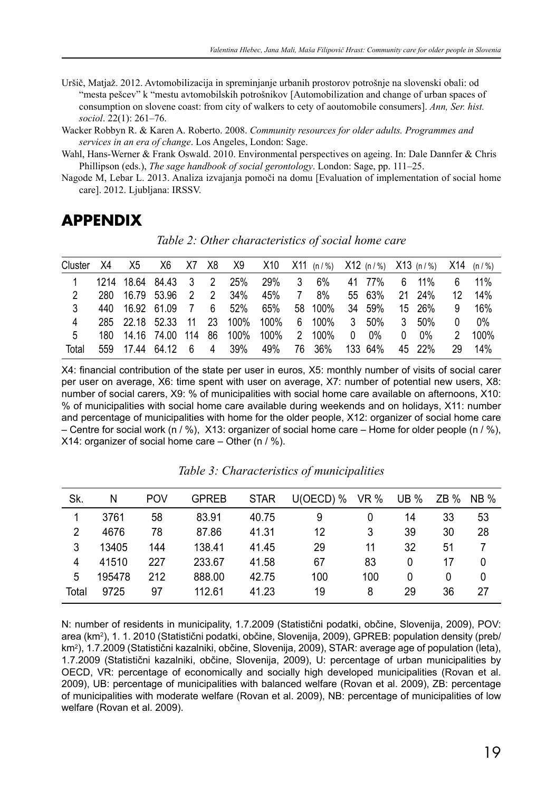- Uršič, Matjaž. 2012. Avtomobilizacija in spreminjanje urbanih prostorov potrošnje na slovenski obali: od "mesta pešcev" k "mestu avtomobilskih potrošnikov [Automobilization and change of urban spaces of consumption on slovene coast: from city of walkers to cety of aoutomobile consumers]. *Ann, Ser. hist. sociol*. 22(1): 261–76.
- Wacker Robbyn R. & Karen A. Roberto. 2008. *Community resources for older adults. Programmes and services in an era of change*. Los Angeles, London: Sage.

Wahl, Hans-Werner & Frank Oswald. 2010. Environmental perspectives on ageing. In: Dale Dannfer & Chris Phillipson (eds.), *The sage handbook of social gerontology*. London: Sage, pp. 111–25.

Nagode M, Lebar L. 2013. Analiza izvajanja pomoči na domu [Evaluation of implementation of social home care]. 2012. Ljubljana: IRSSV.

### **APPENDIX**

| Cluster | X4 | X5              | X6                 | X7 X8          |                |                                  | X9 X10 X11 (n/%) X12 (n/%) X13 (n/%) X14 (n/%) |          |                    |   |        |              |        |          |      |
|---------|----|-----------------|--------------------|----------------|----------------|----------------------------------|------------------------------------------------|----------|--------------------|---|--------|--------------|--------|----------|------|
|         |    |                 | 1214 18.64 84.43 3 |                | $\overline{2}$ | 25%                              | 29% 3                                          |          | 6%                 |   | 41 77% | 6            | 11%    | 6        | 11%  |
| 2       |    |                 | 280 16.79 53.96 2  |                | $\overline{2}$ | 34%                              | 45%                                            | 7        | 8%                 |   | 55 63% |              | 21 24% | 12       | 14%  |
| 3       |    | 440 16.92 61.09 |                    | $\overline{7}$ | 6              | 52%                              | 65%                                            |          | 58 100%            |   | 34 59% |              | 15 26% | 9        | 16%  |
| 4       |    |                 |                    |                |                | 285 22.18 52.33 11 23 100% 100%  |                                                |          | 6 100%             |   | 3 50%  | $\mathbf{3}$ | 50%    | $\Omega$ | 0%   |
| 5       |    |                 |                    |                |                | 180  14.16  74.00  114  86  100% | 100%                                           | $\sim$ 2 | 100%               | 0 | $0\%$  | 0            | 0%     | 2        | 100% |
| Total   |    |                 | 559 17.44 64.12 6  |                |                | 4 39%                            |                                                |          | 49% 76 36% 133 64% |   |        |              | 45 22% | 29       | 14%  |

*Table 2: Other characteristics of social home care*

X4: financial contribution of the state per user in euros, X5: monthly number of visits of social carer per user on average, X6: time spent with user on average, X7: number of potential new users, X8: number of social carers, X9: % of municipalities with social home care available on afternoons, X10: % of municipalities with social home care available during weekends and on holidays, X11: number and percentage of municipalities with home for the older people, X12: organizer of social home care – Centre for social work (n / %),  $X13$ : organizer of social home care – Home for older people (n / %), X14: organizer of social home care  $-$  Other (n  $/$  %).

| Sk.            | N      | <b>POV</b> | <b>GPREB</b> | <b>STAR</b> | $U(OECD)$ % | VR % | <b>UB</b> % | $ZB\%$ | <b>NB %</b> |
|----------------|--------|------------|--------------|-------------|-------------|------|-------------|--------|-------------|
|                | 3761   | 58         | 83.91        | 40.75       | 9           | 0    | 14          | 33     | 53          |
| $\overline{2}$ | 4676   | 78         | 87.86        | 41.31       | 12          | 3    | 39          | 30     | 28          |
| 3              | 13405  | 144        | 138.41       | 41.45       | 29          | 11   | 32          | 51     | 7           |
| 4              | 41510  | 227        | 233.67       | 41.58       | 67          | 83   | 0           | 17     | 0           |
| 5              | 195478 | 212        | 888.00       | 42.75       | 100         | 100  | 0           | 0      | 0           |
| Total          | 9725   | 97         | 112.61       | 41.23       | 19          | 8    | 29          | 36     | 27          |

*Table 3: Characteristics of municipalities*

N: number of residents in municipality, 1.7.2009 (Statistični podatki, občine, Slovenija, 2009), POV: area (km2), 1. 1. 2010 (Statistični podatki, občine, Slovenija, 2009), GPREB: population density (preb/ km2), 1.7.2009 (Statistični kazalniki, občine, Slovenija, 2009), STAR: average age of population (leta), 1.7.2009 (Statistični kazalniki, občine, Slovenija, 2009), U: percentage of urban municipalities by OECD, VR: percentage of economically and socially high developed municipalities (Rovan et al. 2009), UB: percentage of municipalities with balanced welfare (Rovan et al. 2009), ZB: percentage of municipalities with moderate welfare (Rovan et al. 2009), NB: percentage of municipalities of low welfare (Rovan et al. 2009).